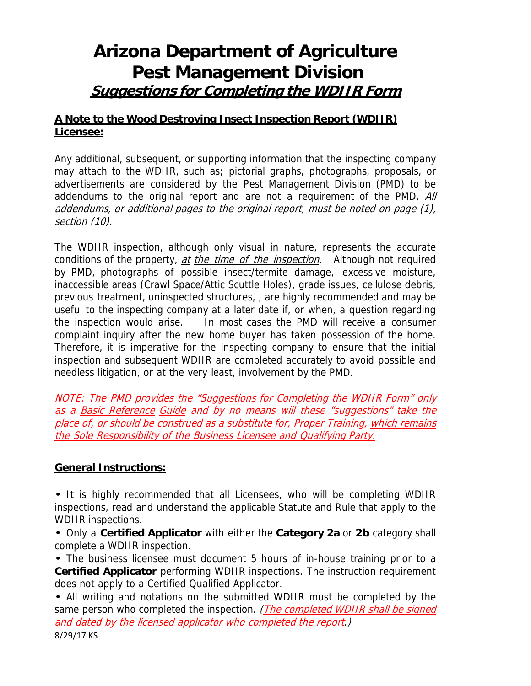# **Arizona Department of Agriculture Pest Management Division Suggestions for Completing the WDIIR Form**

## **A Note to the Wood Destroying Insect Inspection Report (WDIIR) Licensee:**

Any additional, subsequent, or supporting information that the inspecting company may attach to the WDIIR, such as; pictorial graphs, photographs, proposals, or advertisements are considered by the Pest Management Division (PMD) to be addendums to the original report and are not a requirement of the PMD. All addendums, or additional pages to the original report, must be noted on page (1), section (10).

The WDIIR inspection, although only visual in nature, represents the accurate conditions of the property, *at the time of the inspection*. Although not required by PMD, photographs of possible insect/termite damage, excessive moisture, inaccessible areas (Crawl Space/Attic Scuttle Holes), grade issues, cellulose debris, previous treatment, uninspected structures, , are highly recommended and may be useful to the inspecting company at a later date if, or when, a question regarding the inspection would arise. In most cases the PMD will receive a consumer complaint inquiry after the new home buyer has taken possession of the home. Therefore, it is imperative for the inspecting company to ensure that the initial inspection and subsequent WDIIR are completed accurately to avoid possible and needless litigation, or at the very least, involvement by the PMD.

NOTE: The PMD provides the "Suggestions for Completing the WDIIR Form" only as a Basic Reference Guide and by no means will these "suggestions" take the place of, or should be construed as a substitute for, Proper Training, which remains the Sole Responsibility of the Business Licensee and Qualifying Party.

## **General Instructions:**

• It is highly recommended that all Licensees, who will be completing WDIIR inspections, read and understand the applicable Statute and Rule that apply to the WDIIR inspections.

• Only a **Certified Applicator** with either the **Category 2a** or **2b** category shall complete a WDIIR inspection.

• The business licensee must document 5 hours of in-house training prior to a **Certified Applicator** performing WDIIR inspections. The instruction requirement does not apply to a Certified Qualified Applicator.

• All writing and notations on the submitted WDIIR must be completed by the same person who completed the inspection. (*The completed WDIIR shall be signed* and dated by the licensed applicator who completed the report.)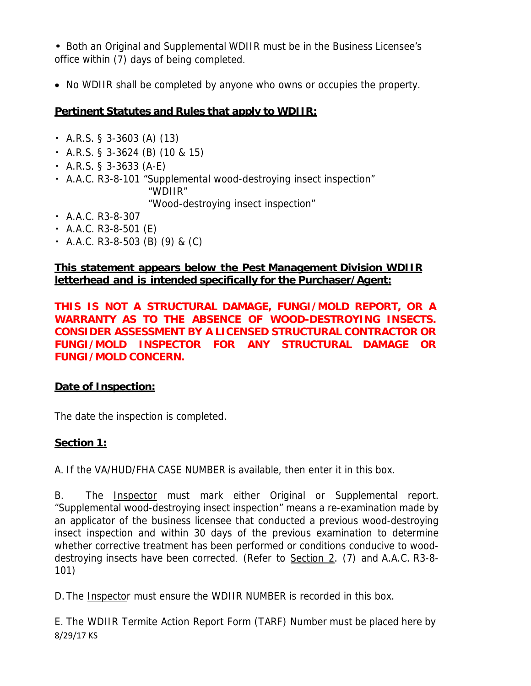• Both an Original and Supplemental WDIIR must be in the Business Licensee's office within (7) days of being completed.

• No WDIIR shall be completed by anyone who owns or occupies the property.

# **Pertinent Statutes and Rules that apply to WDIIR:**

- ・ A.R.S. § 3-3603 (A) (13)
- ・ A.R.S. § 3-3624 (B) (10 & 15)
- $\cdot$  A.R.S. § 3-3633 (A-E)
- ・ A.A.C. R3-8-101 "Supplemental wood-destroying insect inspection" "WDIIR"

"Wood-destroying insect inspection"

- ・ A.A.C. R3-8-307
- ・ A.A.C. R3-8-501 (E)
- ・ A.A.C. R3-8-503 (B) (9) & (C)

# **This statement appears below the Pest Management Division WDIIR letterhead and is intended specifically for the Purchaser/Agent:**

**THIS IS NOT A STRUCTURAL DAMAGE, FUNGI/MOLD REPORT, OR A WARRANTY AS TO THE ABSENCE OF WOOD-DESTROYING INSECTS. CONSIDER ASSESSMENT BY A LICENSED STRUCTURAL CONTRACTOR OR FUNGI/MOLD INSPECTOR FOR ANY STRUCTURAL DAMAGE OR FUNGI/MOLD CONCERN.** 

# **Date of Inspection:**

The date the inspection is completed.

# **Section 1:**

A. If the VA/HUD/FHA CASE NUMBER is available, then enter it in this box.

B. The **Inspector** must mark either Original or Supplemental report. "Supplemental wood-destroying insect inspection" means a re-examination made by an applicator of the business licensee that conducted a previous wood-destroying insect inspection and within 30 days of the previous examination to determine whether corrective treatment has been performed or conditions conducive to wooddestroying insects have been corrected. (Refer to Section 2. (7) and A.A.C. R3-8- 101)

D. The Inspector must ensure the WDIIR NUMBER is recorded in this box.

8/29/17 KS E. The WDIIR Termite Action Report Form (TARF) Number must be placed here by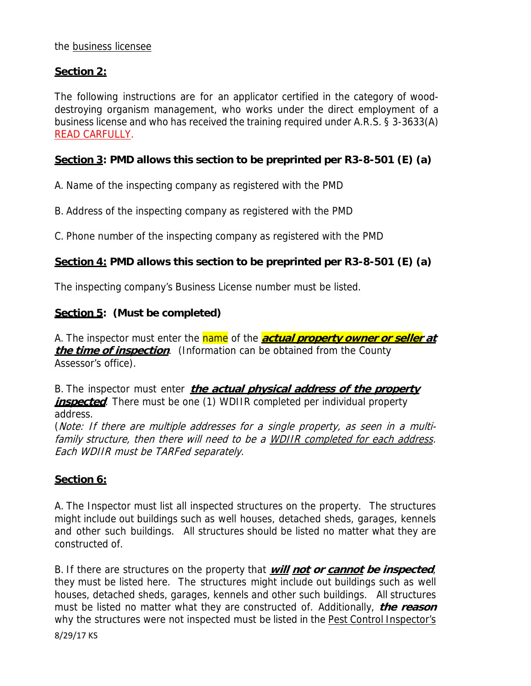#### the business licensee

## **Section 2:**

The following instructions are for an applicator certified in the category of wooddestroying organism management, who works under the direct employment of a business license and who has received the training required under A.R.S. § 3-3633(A) READ CARFULLY.

## **Section 3: PMD allows this section to be preprinted per R3-8-501 (E) (a)**

A. Name of the inspecting company as registered with the PMD

B. Address of the inspecting company as registered with the PMD

C. Phone number of the inspecting company as registered with the PMD

#### **Section 4: PMD allows this section to be preprinted per R3-8-501 (E) (a)**

The inspecting company's Business License number must be listed.

#### **Section 5: (Must be completed)**

A. The inspector must enter the name of the **actual property owner or seller at the time of inspection**. (Information can be obtained from the County Assessor's office).

B. The inspector must enter **the actual physical address of the property**  *inspected*. There must be one (1) WDIIR completed per individual property address.

(Note: If there are multiple addresses for a single property, as seen in a multifamily structure, then there will need to be a WDIIR completed for each address. Each WDIIR must be TARFed separately.

#### **Section 6:**

A. The Inspector must list all inspected structures on the property. The structures might include out buildings such as well houses, detached sheds, garages, kennels and other such buildings. All structures should be listed no matter what they are constructed of.

B. If there are structures on the property that **will not or cannot be inspected**, they must be listed here. The structures might include out buildings such as well houses, detached sheds, garages, kennels and other such buildings. All structures must be listed no matter what they are constructed of. Additionally, **the reason** why the structures were not inspected must be listed in the Pest Control Inspector's

8/29/17 KS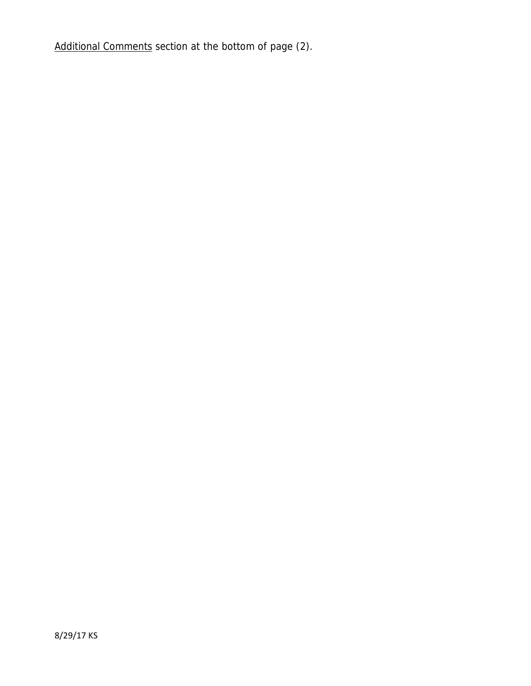Additional Comments section at the bottom of page (2).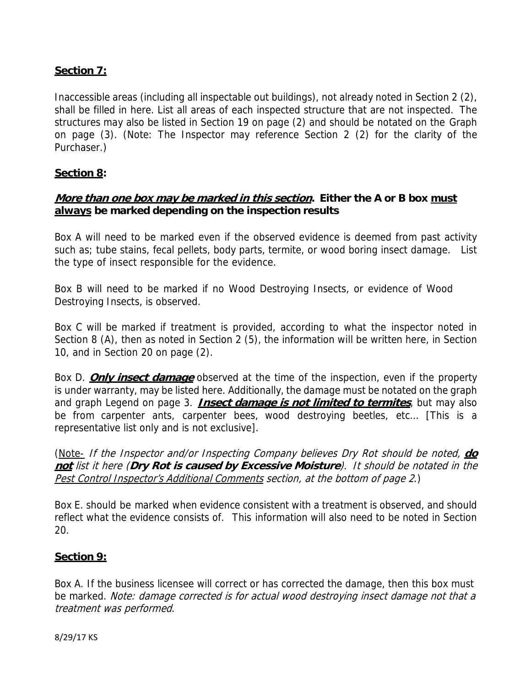# **Section 7:**

Inaccessible areas (including all inspectable out buildings), not already noted in Section 2 (2), shall be filled in here. List all areas of each inspected structure that are not inspected. The structures may also be listed in Section 19 on page (2) and should be notated on the Graph on page (3). (Note: The Inspector may reference Section 2 (2) for the clarity of the Purchaser.)

#### **Section 8:**

#### **More than one box may be marked in this section. Either the A or B box must always be marked depending on the inspection results**

Box A will need to be marked even if the observed evidence is deemed from past activity such as; tube stains, fecal pellets, body parts, termite, or wood boring insect damage. List the type of insect responsible for the evidence.

Box B will need to be marked if no Wood Destroying Insects, or evidence of Wood Destroying Insects, is observed.

Box C will be marked if treatment is provided, according to what the inspector noted in Section 8 (A), then as noted in Section 2 (5), the information will be written here, in Section 10, and in Section 20 on page (2).

Box D. **Only insect damage** observed at the time of the inspection, even if the property is under warranty, may be listed here. Additionally, the damage must be notated on the graph and graph Legend on page 3. **Insect damage is not limited to termites**, but may also be from carpenter ants, carpenter bees, wood destroying beetles, etc… [This is a representative list only and is not exclusive].

(Note- If the Inspector and/or Inspecting Company believes Dry Rot should be noted, **do not** list it here (**Dry Rot is caused by Excessive Moisture**). It should be notated in the Pest Control Inspector's Additional Comments section, at the bottom of page 2.)

Box E. should be marked when evidence consistent with a treatment is observed, and should reflect what the evidence consists of. This information will also need to be noted in Section 20.

## **Section 9:**

Box A. If the business licensee will correct or has corrected the damage, then this box must be marked. Note: damage corrected is for actual wood destroying insect damage not that a treatment was performed.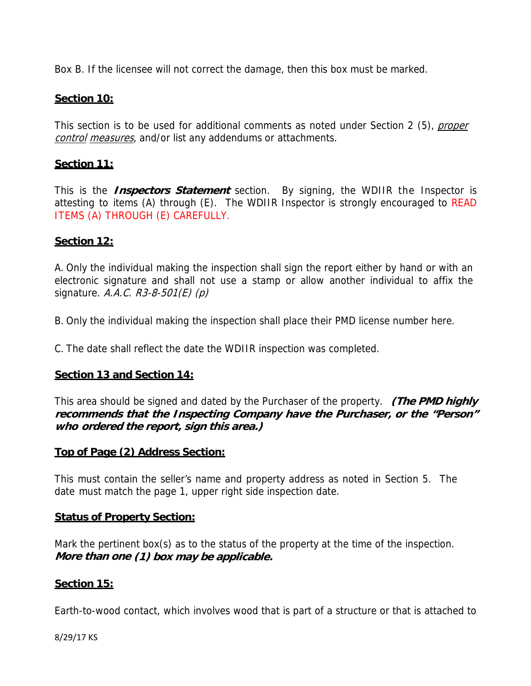Box B. If the licensee will not correct the damage, then this box must be marked.

#### **Section 10:**

This section is to be used for additional comments as noted under Section 2 (5), *proper* control measures, and/or list any addendums or attachments.

#### **Section 11:**

This is the **Inspectors Statement** section. By signing, the WDIIR the Inspector is attesting to items (A) through (E). The WDIIR Inspector is strongly encouraged to READ ITEMS (A) THROUGH (E) CAREFULLY.

#### **Section 12:**

A. Only the individual making the inspection shall sign the report either by hand or with an electronic signature and shall not use a stamp or allow another individual to affix the signature. A.A.C.  $R3-8-501(E)$  (p)

B. Only the individual making the inspection shall place their PMD license number here.

C. The date shall reflect the date the WDIIR inspection was completed.

## **Section 13 and Section 14:**

This area should be signed and dated by the Purchaser of the property. **(The PMD highly recommends that the Inspecting Company have the Purchaser, or the "Person" who ordered the report, sign this area.)**

#### **Top of Page (2) Address Section:**

This must contain the seller's name and property address as noted in Section 5. The date must match the page 1, upper right side inspection date.

#### **Status of Property Section:**

Mark the pertinent box(s) as to the status of the property at the time of the inspection. **More than one (1) box may be applicable.**

## **Section 15:**

Earth-to-wood contact, which involves wood that is part of a structure or that is attached to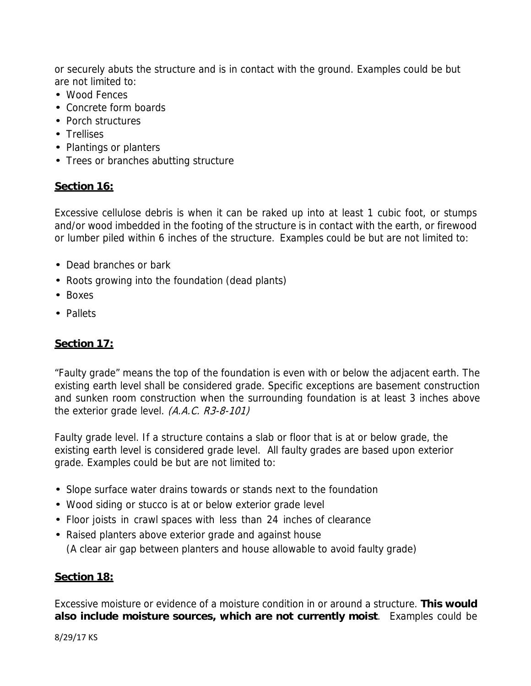or securely abuts the structure and is in contact with the ground. Examples could be but are not limited to:

- Wood Fences
- Concrete form boards
- Porch structures
- Trellises
- Plantings or planters
- Trees or branches abutting structure

# **Section 16:**

Excessive cellulose debris is when it can be raked up into at least 1 cubic foot, or stumps and/or wood imbedded in the footing of the structure is in contact with the earth, or firewood or lumber piled within 6 inches of the structure. Examples could be but are not limited to:

- Dead branches or bark
- Roots growing into the foundation (dead plants)
- Boxes
- Pallets

# **Section 17:**

"Faulty grade" means the top of the foundation is even with or below the adjacent earth. The existing earth level shall be considered grade. Specific exceptions are basement construction and sunken room construction when the surrounding foundation is at least 3 inches above the exterior grade level. (A.A.C. R3-8-101)

Faulty grade level. If a structure contains a slab or floor that is at or below grade, the existing earth level is considered grade level. All faulty grades are based upon exterior grade. Examples could be but are not limited to:

- Slope surface water drains towards or stands next to the foundation
- Wood siding or stucco is at or below exterior grade level
- Floor joists in crawl spaces with less than 24 inches of clearance
- Raised planters above exterior grade and against house

(A clear air gap between planters and house allowable to avoid faulty grade)

## **Section 18:**

Excessive moisture or evidence of a moisture condition in or around a structure. **This would also include moisture sources, which are not currently moist**. Examples could be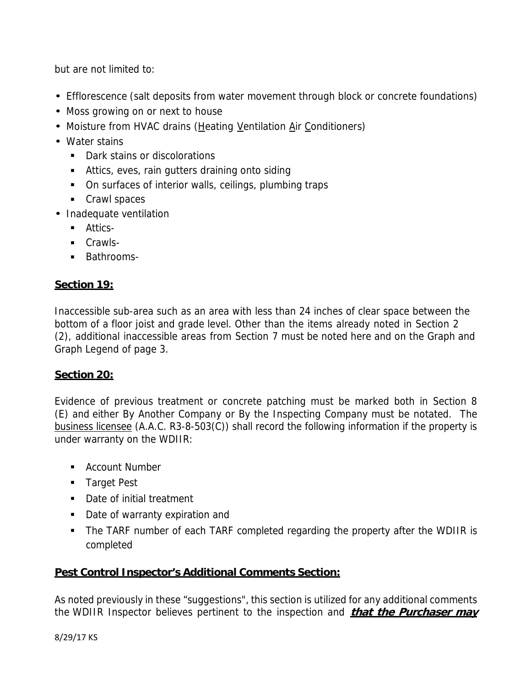but are not limited to:

- Efflorescence (salt deposits from water movement through block or concrete foundations)
- Moss growing on or next to house
- Moisture from HVAC drains (Heating Ventilation Air Conditioners)
- Water stains
	- Dark stains or discolorations
	- Attics, eves, rain gutters draining onto siding
	- On surfaces of interior walls, ceilings, plumbing traps
	- Crawl spaces
- Inadequate ventilation
	- **Attics-**
	- **Crawls-**
	- **Bathrooms-**

# **Section 19:**

Inaccessible sub-area such as an area with less than 24 inches of clear space between the bottom of a floor joist and grade level. Other than the items already noted in Section 2 (2), additional inaccessible areas from Section 7 must be noted here and on the Graph and Graph Legend of page 3.

## **Section 20:**

Evidence of previous treatment or concrete patching must be marked both in Section 8 (E) and either By Another Company or By the Inspecting Company must be notated. The business licensee (A.A.C. R3-8-503(C)) shall record the following information if the property is under warranty on the WDIIR:

- **Account Number**
- **Target Pest**
- Date of initial treatment
- Date of warranty expiration and
- The TARF number of each TARF completed regarding the property after the WDIIR is completed

## **Pest Control Inspector's Additional Comments Section:**

As noted previously in these "suggestions", this section is utilized for any additional comments the WDIIR Inspector believes pertinent to the inspection and **that the Purchaser may**